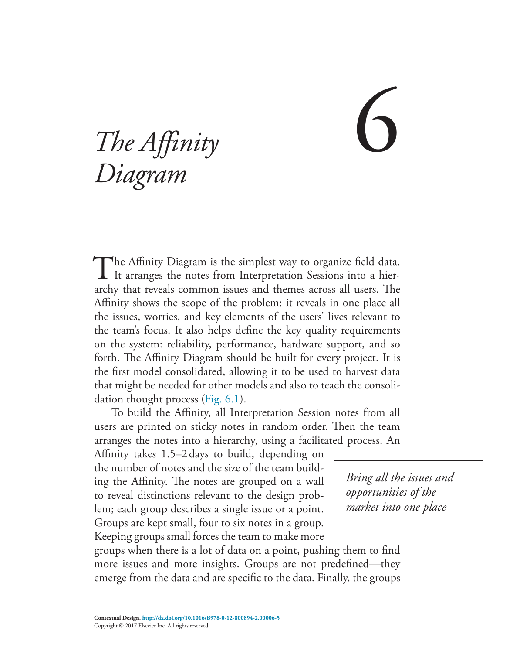# 6

# <span id="page-0-0"></span>*The Affinity Diagram*

The Affinity Diagram is the simplest way to organize field data.<br>It arranges the notes from Interpretation Sessions into a hierarchy that reveals common issues and themes across all users. The Affinity shows the scope of the problem: it reveals in one place all the issues, worries, and key elements of the users' lives relevant to the team's focus. It also helps define the key quality requirements on the system: reliability, performance, hardware support, and so forth. The Affinity Diagram should be built for every project. It is the first model consolidated, allowing it to be used to harvest data that might be needed for other models and also to teach the consolidation thought process ([Fig. 6.1](#page-2-0)).

To build the Affinity, all Interpretation Session notes from all users are printed on sticky notes in random order. Then the team arranges the notes into a hierarchy, using a facilitated process. An

Affinity takes 1.5–2days to build, depending on the number of notes and the size of the team building the Affinity. The notes are grouped on a wall to reveal distinctions relevant to the design problem; each group describes a single issue or a point. Groups are kept small, four to six notes in a group. Keeping groups small forces the team to make more

*Bring all the issues and opportunities of the market into one place*

groups when there is a lot of data on a point, pushing them to find more issues and more insights. Groups are not predefined—they emerge from the data and are specific to the data. Finally, the groups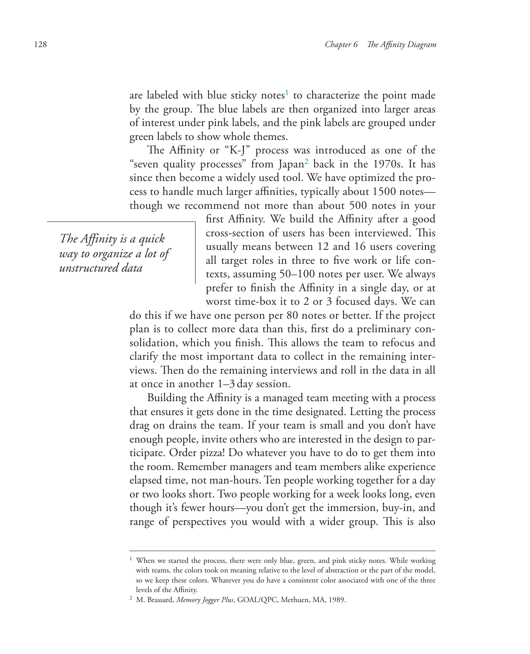are labeled with blue sticky notes<sup>1</sup> to characterize the point made by the group. The blue labels are then organized into larger areas of interest under pink labels, and the pink labels are grouped under green labels to show whole themes.

The Affinity or "K-J" process was introduced as one of the "seven quality processes" from Japa[n2](#page-0-0) back in the 1970s. It has since then become a widely used tool. We have optimized the process to handle much larger affinities, typically about 1500 notes though we recommend not more than about 500 notes in your

*The Affinity is a quick way to organize a lot of unstructured data*

first Affinity. We build the Affinity after a good cross-section of users has been interviewed. This usually means between 12 and 16 users covering all target roles in three to five work or life contexts, assuming 50–100 notes per user. We always prefer to finish the Affinity in a single day, or at worst time-box it to 2 or 3 focused days. We can

do this if we have one person per 80 notes or better. If the project plan is to collect more data than this, first do a preliminary consolidation, which you finish. This allows the team to refocus and clarify the most important data to collect in the remaining interviews. Then do the remaining interviews and roll in the data in all at once in another 1–3 day session.

Building the Affinity is a managed team meeting with a process that ensures it gets done in the time designated. Letting the process drag on drains the team. If your team is small and you don't have enough people, invite others who are interested in the design to participate. Order pizza! Do whatever you have to do to get them into the room. Remember managers and team members alike experience elapsed time, not man-hours. Ten people working together for a day or two looks short. Two people working for a week looks long, even though it's fewer hours—you don't get the immersion, buy-in, and range of perspectives you would with a wider group. This is also

 $1$  When we started the process, there were only blue, green, and pink sticky notes. While working with teams, the colors took on meaning relative to the level of abstraction or the part of the model, so we keep these colors. Whatever you do have a consistent color associated with one of the three levels of the Affinity.

<sup>2</sup> M. Brassard, *Memory Jogger Plus*, GOAL/QPC, Methuen, MA, 1989.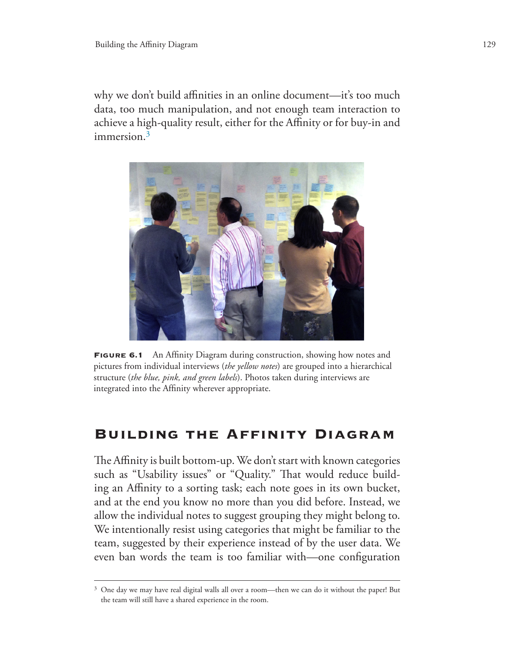why we don't build affinities in an online document—it's too much data, too much manipulation, and not enough team interaction to achieve a high-quality result, either for the Affinity or for buy-in and immersion. $3$ 



**FIGURE 6.1** An Affinity Diagram during construction, showing how notes and pictures from individual interviews (*the yellow notes*) are grouped into a hierarchical structure (*the blue, pink, and green labels*). Photos taken during interviews are integrated into the Affinity wherever appropriate.

### <span id="page-2-0"></span>**Building the Affinity Diagram**

The Affinity is built bottom-up. We don't start with known categories such as "Usability issues" or "Quality." That would reduce building an Affinity to a sorting task; each note goes in its own bucket, and at the end you know no more than you did before. Instead, we allow the individual notes to suggest grouping they might belong to. We intentionally resist using categories that might be familiar to the team, suggested by their experience instead of by the user data. We even ban words the team is too familiar with—one configuration

<sup>3</sup> One day we may have real digital walls all over a room—then we can do it without the paper! But the team will still have a shared experience in the room.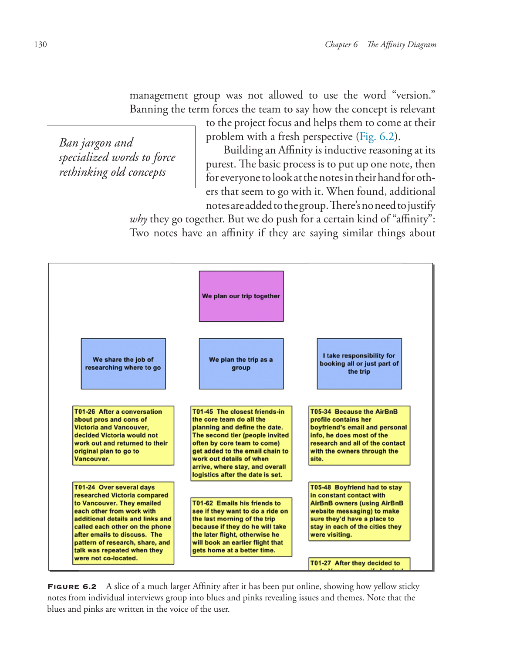management group was not allowed to use the word "version." Banning the term forces the team to say how the concept is relevant

*Ban jargon and specialized words to force rethinking old concepts*

to the project focus and helps them to come at their problem with a fresh perspective [\(Fig. 6.2\)](#page-3-0).

Building an Affinity is inductive reasoning at its purest. The basic process is to put up one note, then for everyone to look at the notes in their hand for others that seem to go with it. When found, additional notes are added to the group. There's no need to justify

*why* they go together. But we do push for a certain kind of "affinity": Two notes have an affinity if they are saying similar things about



<span id="page-3-0"></span>**FIGURE 6.2** A slice of a much larger Affinity after it has been put online, showing how yellow sticky notes from individual interviews group into blues and pinks revealing issues and themes. Note that the blues and pinks are written in the voice of the user.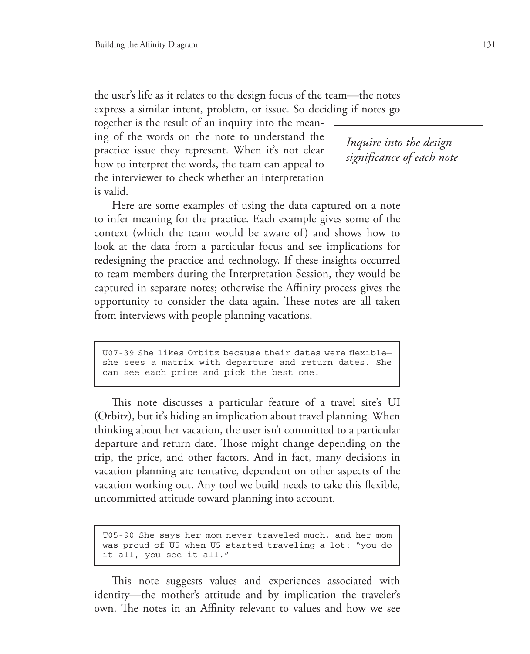the user's life as it relates to the design focus of the team—the notes express a similar intent, problem, or issue. So deciding if notes go

together is the result of an inquiry into the meaning of the words on the note to understand the practice issue they represent. When it's not clear how to interpret the words, the team can appeal to the interviewer to check whether an interpretation is valid.

*Inquire into the design significance of each note*

Here are some examples of using the data captured on a note to infer meaning for the practice. Each example gives some of the context (which the team would be aware of) and shows how to look at the data from a particular focus and see implications for redesigning the practice and technology. If these insights occurred to team members during the Interpretation Session, they would be captured in separate notes; otherwise the Affinity process gives the opportunity to consider the data again. These notes are all taken from interviews with people planning vacations.

U07-39 She likes Orbitz because their dates were flexible she sees a matrix with departure and return dates. She can see each price and pick the best one.

This note discusses a particular feature of a travel site's UI (Orbitz), but it's hiding an implication about travel planning. When thinking about her vacation, the user isn't committed to a particular departure and return date. Those might change depending on the trip, the price, and other factors. And in fact, many decisions in vacation planning are tentative, dependent on other aspects of the vacation working out. Any tool we build needs to take this flexible, uncommitted attitude toward planning into account.

T05-90 She says her mom never traveled much, and her mom was proud of U5 when U5 started traveling a lot: "you do it all, you see it all."

This note suggests values and experiences associated with identity—the mother's attitude and by implication the traveler's own. The notes in an Affinity relevant to values and how we see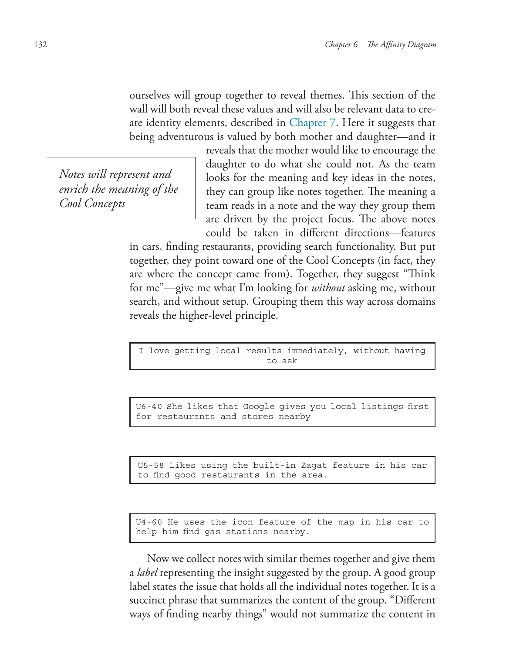ourselves will group together to reveal themes. This section of the wall will both reveal these values and will also be relevant data to create identity elements, described in Chapter 7. Here it suggests that being adventurous is valued by both mother and daughter—and it

*Notes will represent and enrich the meaning of the Cool Concepts*

reveals that the mother would like to encourage the daughter to do what she could not. As the team looks for the meaning and key ideas in the notes, they can group like notes together. The meaning a team reads in a note and the way they group them are driven by the project focus. The above notes could be taken in different directions—features

in cars, finding restaurants, providing search functionality. But put together, they point toward one of the Cool Concepts (in fact, they are where the concept came from). Together, they suggest "Think for me"—give me what I'm looking for *without* asking me, without search, and without setup. Grouping them this way across domains reveals the higher-level principle.

```
I love getting local results immediately, without having 
                          to ask
```
U6-40 She likes that Google gives you local listings first for restaurants and stores nearby

U5-58 Likes using the built-in Zagat feature in his car to find good restaurants in the area.

U4-60 He uses the icon feature of the map in his car to help him find gas stations nearby.

Now we collect notes with similar themes together and give them a *label* representing the insight suggested by the group. A good group label states the issue that holds all the individual notes together. It is a succinct phrase that summarizes the content of the group. "Different ways of finding nearby things" would not summarize the content in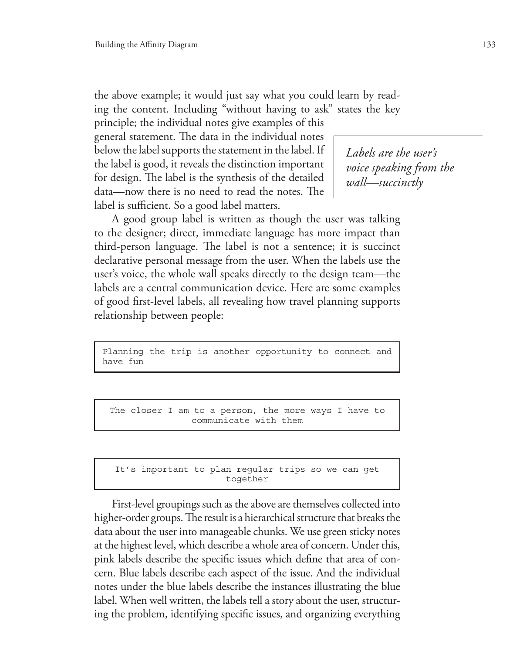the above example; it would just say what you could learn by reading the content. Including "without having to ask" states the key

principle; the individual notes give examples of this general statement. The data in the individual notes below the label supports the statement in the label. If the label is good, it reveals the distinction important for design. The label is the synthesis of the detailed data—now there is no need to read the notes. The label is sufficient. So a good label matters.

*Labels are the user's voice speaking from the wall—succinctly*

A good group label is written as though the user was talking to the designer; direct, immediate language has more impact than third-person language. The label is not a sentence; it is succinct declarative personal message from the user. When the labels use the user's voice, the whole wall speaks directly to the design team—the labels are a central communication device. Here are some examples of good first-level labels, all revealing how travel planning supports relationship between people:

```
Planning the trip is another opportunity to connect and 
have fun
```
The closer I am to a person, the more ways I have to communicate with them

```
It's important to plan regular trips so we can get 
                     together
```
First-level groupings such as the above are themselves collected into higher-order groups. The result is a hierarchical structure that breaks the data about the user into manageable chunks. We use green sticky notes at the highest level, which describe a whole area of concern. Under this, pink labels describe the specific issues which define that area of concern. Blue labels describe each aspect of the issue. And the individual notes under the blue labels describe the instances illustrating the blue label. When well written, the labels tell a story about the user, structuring the problem, identifying specific issues, and organizing everything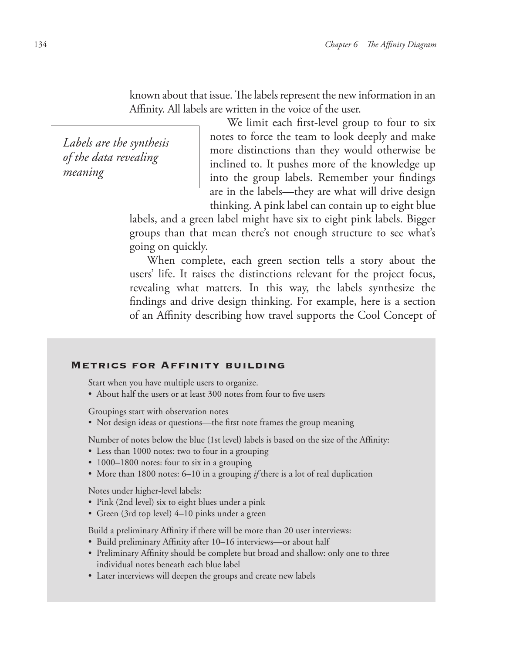known about that issue. The labels represent the new information in an Affinity. All labels are written in the voice of the user.

*Labels are the synthesis of the data revealing meaning*

We limit each first-level group to four to six notes to force the team to look deeply and make more distinctions than they would otherwise be inclined to. It pushes more of the knowledge up into the group labels. Remember your findings are in the labels—they are what will drive design thinking. A pink label can contain up to eight blue

labels, and a green label might have six to eight pink labels. Bigger groups than that mean there's not enough structure to see what's going on quickly.

When complete, each green section tells a story about the users' life. It raises the distinctions relevant for the project focus, revealing what matters. In this way, the labels synthesize the findings and drive design thinking. For example, here is a section of an Affinity describing how travel supports the Cool Concept of

#### **Metrics for Affinity building**

Start when you have multiple users to organize.

• About half the users or at least 300 notes from four to five users

Groupings start with observation notes

• Not design ideas or questions—the first note frames the group meaning

Number of notes below the blue (1st level) labels is based on the size of the Affinity:

- Less than 1000 notes: two to four in a grouping
- 1000–1800 notes: four to six in a grouping
- More than 1800 notes: 6–10 in a grouping *if* there is a lot of real duplication

Notes under higher-level labels:

- Pink (2nd level) six to eight blues under a pink
- Green (3rd top level) 4–10 pinks under a green

Build a preliminary Affinity if there will be more than 20 user interviews:

- Build preliminary Affinity after 10–16 interviews—or about half
- Preliminary Affinity should be complete but broad and shallow: only one to three individual notes beneath each blue label
- Later interviews will deepen the groups and create new labels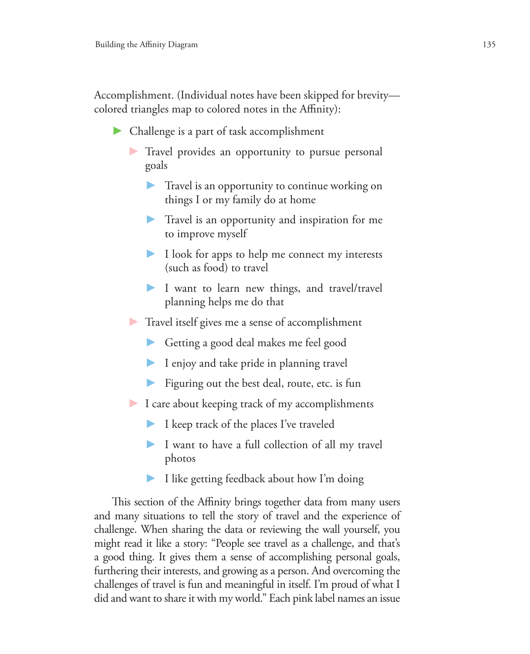Accomplishment. (Individual notes have been skipped for brevity colored triangles map to colored notes in the Affinity):

- ► Challenge is a part of task accomplishment
	- ► Travel provides an opportunity to pursue personal goals
		- ► Travel is an opportunity to continue working on things I or my family do at home
		- ► Travel is an opportunity and inspiration for me to improve myself
		- ► I look for apps to help me connect my interests (such as food) to travel
		- ► I want to learn new things, and travel/travel planning helps me do that
	- ► Travel itself gives me a sense of accomplishment
		- ► Getting a good deal makes me feel good
		- ► I enjoy and take pride in planning travel
		- Figuring out the best deal, route, etc. is fun
	- ► I care about keeping track of my accomplishments
		- ► I keep track of the places I've traveled
		- ► I want to have a full collection of all my travel photos
		- ► I like getting feedback about how I'm doing

This section of the Affinity brings together data from many users and many situations to tell the story of travel and the experience of challenge. When sharing the data or reviewing the wall yourself, you might read it like a story: "People see travel as a challenge, and that's a good thing. It gives them a sense of accomplishing personal goals, furthering their interests, and growing as a person. And overcoming the challenges of travel is fun and meaningful in itself. I'm proud of what I did and want to share it with my world." Each pink label names an issue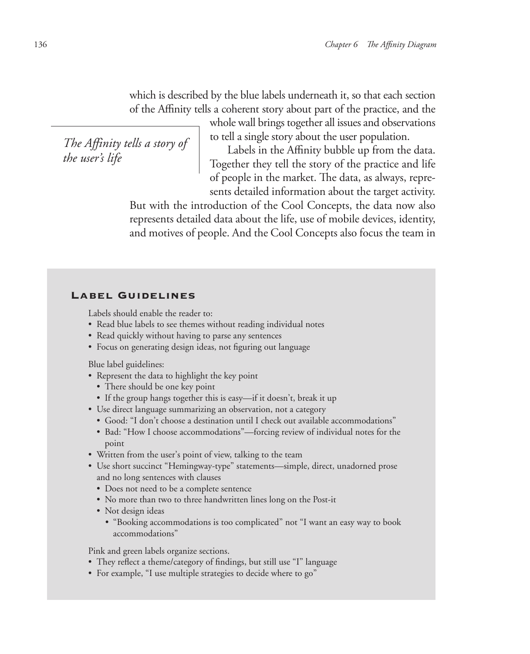which is described by the blue labels underneath it, so that each section of the Affinity tells a coherent story about part of the practice, and the

*The Affinity tells a story of the user's life*

to tell a single story about the user population.

Labels in the Affinity bubble up from the data. Together they tell the story of the practice and life of people in the market. The data, as always, represents detailed information about the target activity.

whole wall brings together all issues and observations

But with the introduction of the Cool Concepts, the data now also represents detailed data about the life, use of mobile devices, identity, and motives of people. And the Cool Concepts also focus the team in

#### **Label Guidelines**

Labels should enable the reader to:

- Read blue labels to see themes without reading individual notes
- Read quickly without having to parse any sentences
- Focus on generating design ideas, not figuring out language

Blue label guidelines:

- Represent the data to highlight the key point
	- There should be one key point
	- If the group hangs together this is easy—if it doesn't, break it up
- Use direct language summarizing an observation, not a category
	- Good: "I don't choose a destination until I check out available accommodations"
	- Bad: "How I choose accommodations"—forcing review of individual notes for the point
- Written from the user's point of view, talking to the team
- Use short succinct "Hemingway-type" statements—simple, direct, unadorned prose and no long sentences with clauses
	- Does not need to be a complete sentence
	- No more than two to three handwritten lines long on the Post-it
	- Not design ideas
		- "Booking accommodations is too complicated" not "I want an easy way to book accommodations"

Pink and green labels organize sections.

- They reflect a theme/category of findings, but still use "I" language
- For example, "I use multiple strategies to decide where to go"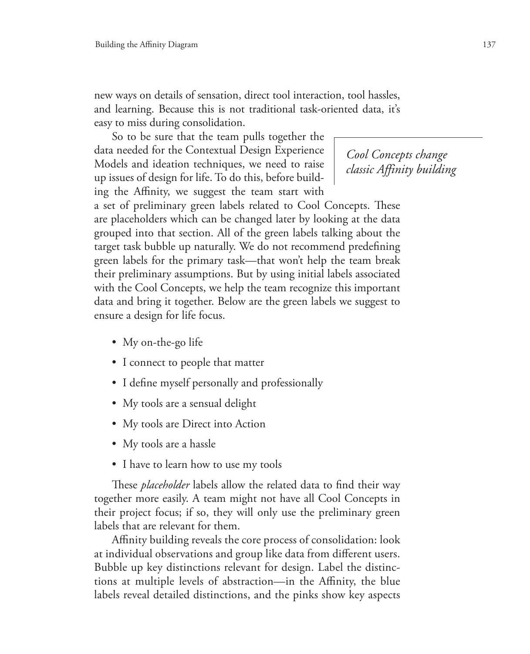new ways on details of sensation, direct tool interaction, tool hassles, and learning. Because this is not traditional task-oriented data, it's easy to miss during consolidation.

So to be sure that the team pulls together the data needed for the Contextual Design Experience Models and ideation techniques, we need to raise up issues of design for life. To do this, before building the Affinity, we suggest the team start with

*Cool Concepts change classic Affinity building*

a set of preliminary green labels related to Cool Concepts. These are placeholders which can be changed later by looking at the data grouped into that section. All of the green labels talking about the target task bubble up naturally. We do not recommend predefining green labels for the primary task—that won't help the team break their preliminary assumptions. But by using initial labels associated with the Cool Concepts, we help the team recognize this important data and bring it together. Below are the green labels we suggest to ensure a design for life focus.

- My on-the-go life
- I connect to people that matter
- I define myself personally and professionally
- My tools are a sensual delight
- My tools are Direct into Action
- My tools are a hassle
- I have to learn how to use my tools

These *placeholder* labels allow the related data to find their way together more easily. A team might not have all Cool Concepts in their project focus; if so, they will only use the preliminary green labels that are relevant for them.

Affinity building reveals the core process of consolidation: look at individual observations and group like data from different users. Bubble up key distinctions relevant for design. Label the distinctions at multiple levels of abstraction—in the Affinity, the blue labels reveal detailed distinctions, and the pinks show key aspects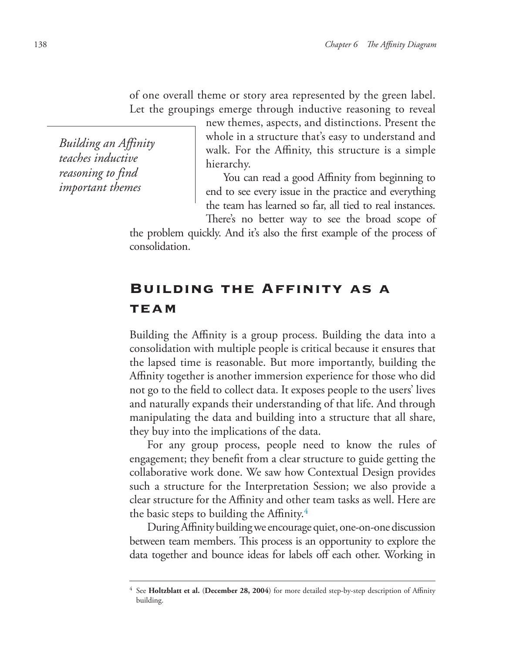*Building an Affinity teaches inductive reasoning to find important themes*

new themes, aspects, and distinctions. Present the whole in a structure that's easy to understand and walk. For the Affinity, this structure is a simple hierarchy.

You can read a good Affinity from beginning to end to see every issue in the practice and everything the team has learned so far, all tied to real instances. There's no better way to see the broad scope of

the problem quickly. And it's also the first example of the process of consolidation.

## **Building the Affinity as a team**

Building the Affinity is a group process. Building the data into a consolidation with multiple people is critical because it ensures that the lapsed time is reasonable. But more importantly, building the Affinity together is another immersion experience for those who did not go to the field to collect data. It exposes people to the users' lives and naturally expands their understanding of that life. And through manipulating the data and building into a structure that all share, they buy into the implications of the data.

For any group process, people need to know the rules of engagement; they benefit from a clear structure to guide getting the collaborative work done. We saw how Contextual Design provides such a structure for the Interpretation Session; we also provide a clear structure for the Affinity and other team tasks as well. Here are the basic steps to building the Affinity.<sup>[4](#page-0-0)</sup>

During Affinity building we encourage quiet, one-on-one discussion between team members. This process is an opportunity to explore the data together and bounce ideas for labels off each other. Working in

<sup>4</sup> See **Holtzblatt et al.** (**December 28, 2004**) for more detailed step-by-step description of Affinity building.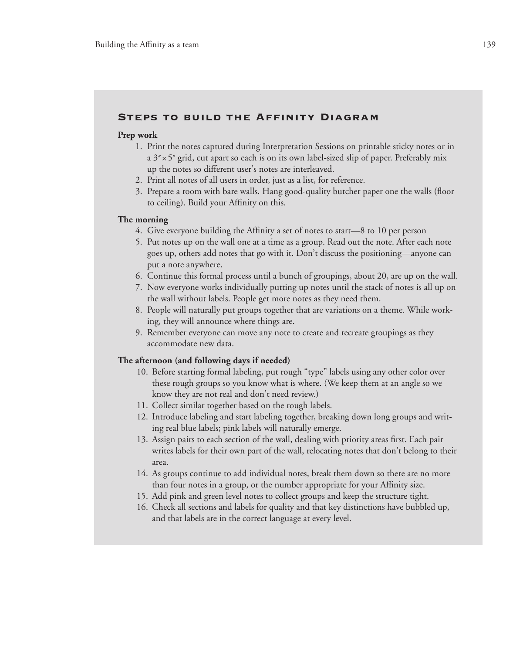#### **Steps to build the Affinity Diagram**

#### **Prep work**

- 1. Print the notes captured during Interpretation Sessions on printable sticky notes or in a  $3'' \times 5''$  grid, cut apart so each is on its own label-sized slip of paper. Preferably mix up the notes so different user's notes are interleaved.
- 2. Print all notes of all users in order, just as a list, for reference.
- 3. Prepare a room with bare walls. Hang good-quality butcher paper one the walls (floor to ceiling). Build your Affinity on this.

#### **The morning**

- 4. Give everyone building the Affinity a set of notes to start—8 to 10 per person
- 5. Put notes up on the wall one at a time as a group. Read out the note. After each note goes up, others add notes that go with it. Don't discuss the positioning—anyone can put a note anywhere.
- 6. Continue this formal process until a bunch of groupings, about 20, are up on the wall.
- 7. Now everyone works individually putting up notes until the stack of notes is all up on the wall without labels. People get more notes as they need them.
- 8. People will naturally put groups together that are variations on a theme. While working, they will announce where things are.
- 9. Remember everyone can move any note to create and recreate groupings as they accommodate new data.

#### **The afternoon (and following days if needed)**

- 10. Before starting formal labeling, put rough "type" labels using any other color over these rough groups so you know what is where. (We keep them at an angle so we know they are not real and don't need review.)
- 11. Collect similar together based on the rough labels.
- 12. Introduce labeling and start labeling together, breaking down long groups and writing real blue labels; pink labels will naturally emerge.
- 13. Assign pairs to each section of the wall, dealing with priority areas first. Each pair writes labels for their own part of the wall, relocating notes that don't belong to their area.
- 14. As groups continue to add individual notes, break them down so there are no more than four notes in a group, or the number appropriate for your Affinity size.
- 15. Add pink and green level notes to collect groups and keep the structure tight.
- 16. Check all sections and labels for quality and that key distinctions have bubbled up, and that labels are in the correct language at every level.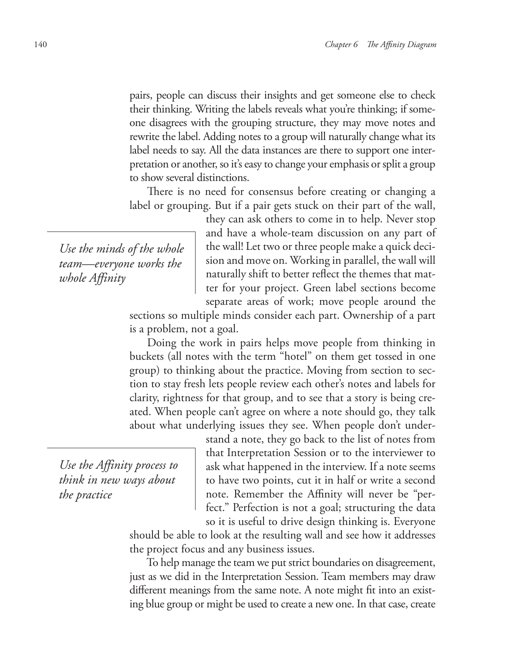pairs, people can discuss their insights and get someone else to check their thinking. Writing the labels reveals what you're thinking; if someone disagrees with the grouping structure, they may move notes and rewrite the label. Adding notes to a group will naturally change what its label needs to say. All the data instances are there to support one interpretation or another, so it's easy to change your emphasis or split a group to show several distinctions.

There is no need for consensus before creating or changing a label or grouping. But if a pair gets stuck on their part of the wall,

*Use the minds of the whole team—everyone works the whole Affinity*

they can ask others to come in to help. Never stop and have a whole-team discussion on any part of the wall! Let two or three people make a quick decision and move on. Working in parallel, the wall will naturally shift to better reflect the themes that matter for your project. Green label sections become separate areas of work; move people around the

sections so multiple minds consider each part. Ownership of a part is a problem, not a goal.

Doing the work in pairs helps move people from thinking in buckets (all notes with the term "hotel" on them get tossed in one group) to thinking about the practice. Moving from section to section to stay fresh lets people review each other's notes and labels for clarity, rightness for that group, and to see that a story is being created. When people can't agree on where a note should go, they talk about what underlying issues they see. When people don't under-

*Use the Affinity process to think in new ways about the practice*

stand a note, they go back to the list of notes from that Interpretation Session or to the interviewer to ask what happened in the interview. If a note seems to have two points, cut it in half or write a second note. Remember the Affinity will never be "perfect." Perfection is not a goal; structuring the data so it is useful to drive design thinking is. Everyone

should be able to look at the resulting wall and see how it addresses the project focus and any business issues.

To help manage the team we put strict boundaries on disagreement, just as we did in the Interpretation Session. Team members may draw different meanings from the same note. A note might fit into an existing blue group or might be used to create a new one. In that case, create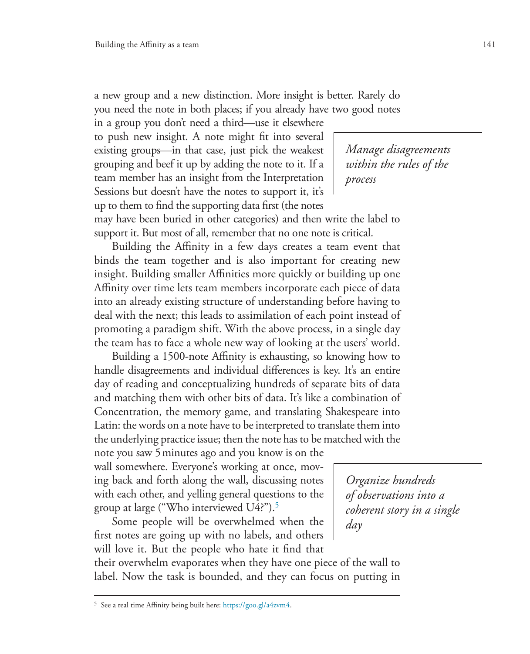a new group and a new distinction. More insight is better. Rarely do you need the note in both places; if you already have two good notes

in a group you don't need a third—use it elsewhere to push new insight. A note might fit into several existing groups—in that case, just pick the weakest grouping and beef it up by adding the note to it. If a team member has an insight from the Interpretation Sessions but doesn't have the notes to support it, it's up to them to find the supporting data first (the notes

*Manage disagreements within the rules of the process*

may have been buried in other categories) and then write the label to support it. But most of all, remember that no one note is critical.

Building the Affinity in a few days creates a team event that binds the team together and is also important for creating new insight. Building smaller Affinities more quickly or building up one Affinity over time lets team members incorporate each piece of data into an already existing structure of understanding before having to deal with the next; this leads to assimilation of each point instead of promoting a paradigm shift. With the above process, in a single day the team has to face a whole new way of looking at the users' world.

Building a 1500-note Affinity is exhausting, so knowing how to handle disagreements and individual differences is key. It's an entire day of reading and conceptualizing hundreds of separate bits of data and matching them with other bits of data. It's like a combination of Concentration, the memory game, and translating Shakespeare into Latin: the words on a note have to be interpreted to translate them into the underlying practice issue; then the note has to be matched with the

note you saw 5minutes ago and you know is on the wall somewhere. Everyone's working at once, moving back and forth along the wall, discussing notes with each other, and yelling general questions to the group at large ("Who interviewed U4?").<sup>5</sup>

Some people will be overwhelmed when the first notes are going up with no labels, and others will love it. But the people who hate it find that

*Organize hundreds of observations into a coherent story in a single day*

their overwhelm evaporates when they have one piece of the wall to label. Now the task is bounded, and they can focus on putting in

<sup>5</sup> See a real time Affinity being built here: https://goo.gl/a4zvm4.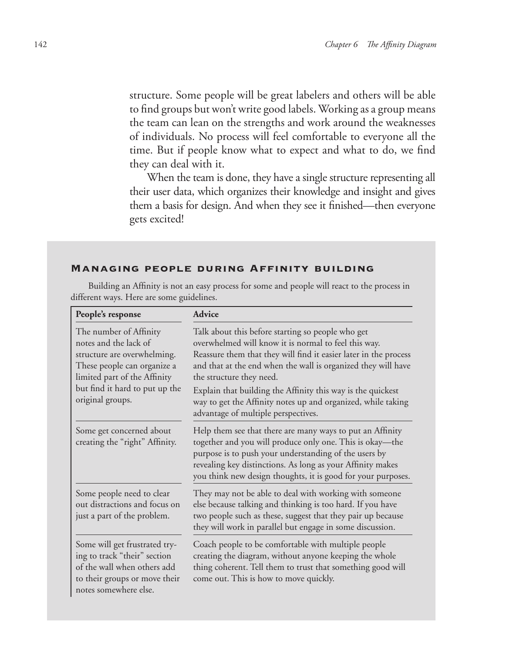structure. Some people will be great labelers and others will be able to find groups but won't write good labels. Working as a group means the team can lean on the strengths and work around the weaknesses of individuals. No process will feel comfortable to everyone all the time. But if people know what to expect and what to do, we find they can deal with it.

When the team is done, they have a single structure representing all their user data, which organizes their knowledge and insight and gives them a basis for design. And when they see it finished—then everyone gets excited!

#### **MANAGING PEOPLE DURING AFFINITY BU**

| Building an Affinity is not an easy process for some and people will react to the process in |  |  |
|----------------------------------------------------------------------------------------------|--|--|
| different ways. Here are some guidelines.                                                    |  |  |
|                                                                                              |  |  |

| People's response                                                                                                                                      | <b>Advice</b>                                                                                                                                                                                                                                                                                                |  |  |
|--------------------------------------------------------------------------------------------------------------------------------------------------------|--------------------------------------------------------------------------------------------------------------------------------------------------------------------------------------------------------------------------------------------------------------------------------------------------------------|--|--|
| The number of Affinity<br>notes and the lack of<br>structure are overwhelming.<br>These people can organize a<br>limited part of the Affinity          | Talk about this before starting so people who get<br>overwhelmed will know it is normal to feel this way.<br>Reassure them that they will find it easier later in the process<br>and that at the end when the wall is organized they will have<br>the structure they need.                                   |  |  |
| but find it hard to put up the<br>original groups.                                                                                                     | Explain that building the Affinity this way is the quickest<br>way to get the Affinity notes up and organized, while taking<br>advantage of multiple perspectives.                                                                                                                                           |  |  |
| Some get concerned about<br>creating the "right" Affinity.                                                                                             | Help them see that there are many ways to put an Affinity<br>together and you will produce only one. This is okay-the<br>purpose is to push your understanding of the users by<br>revealing key distinctions. As long as your Affinity makes<br>you think new design thoughts, it is good for your purposes. |  |  |
| Some people need to clear<br>out distractions and focus on<br>just a part of the problem.                                                              | They may not be able to deal with working with someone<br>else because talking and thinking is too hard. If you have<br>two people such as these, suggest that they pair up because<br>they will work in parallel but engage in some discussion.                                                             |  |  |
| Some will get frustrated try-<br>ing to track "their" section<br>of the wall when others add<br>to their groups or move their<br>notes somewhere else. | Coach people to be comfortable with multiple people<br>creating the diagram, without anyone keeping the whole<br>thing coherent. Tell them to trust that something good will<br>come out. This is how to move quickly.                                                                                       |  |  |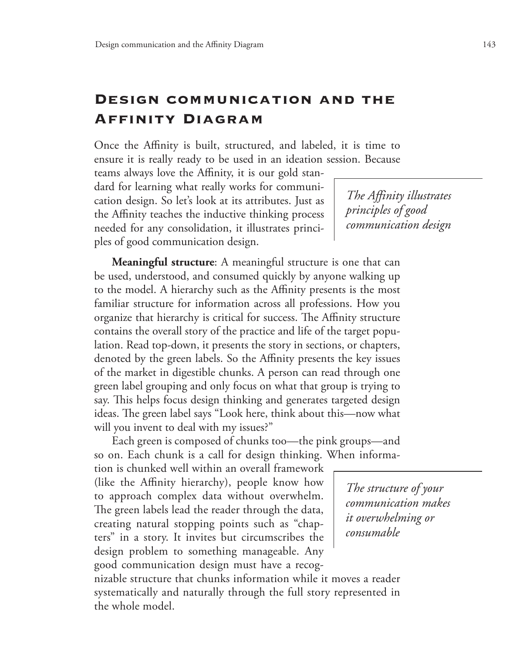# **Design communication and the Affinity Diagram**

Once the Affinity is built, structured, and labeled, it is time to ensure it is really ready to be used in an ideation session. Because

teams always love the Affinity, it is our gold standard for learning what really works for communication design. So let's look at its attributes. Just as the Affinity teaches the inductive thinking process needed for any consolidation, it illustrates principles of good communication design.

**Meaningful structure**: A meaningful structure is one that can be used, understood, and consumed quickly by anyone walking up to the model. A hierarchy such as the Affinity presents is the most familiar structure for information across all professions. How you organize that hierarchy is critical for success. The Affinity structure contains the overall story of the practice and life of the target population. Read top-down, it presents the story in sections, or chapters, denoted by the green labels. So the Affinity presents the key issues of the market in digestible chunks. A person can read through one green label grouping and only focus on what that group is trying to say. This helps focus design thinking and generates targeted design ideas. The green label says "Look here, think about this—now what will you invent to deal with my issues?"

Each green is composed of chunks too—the pink groups—and so on. Each chunk is a call for design thinking. When informa-

tion is chunked well within an overall framework (like the Affinity hierarchy), people know how to approach complex data without overwhelm. The green labels lead the reader through the data, creating natural stopping points such as "chapters" in a story. It invites but circumscribes the design problem to something manageable. Any good communication design must have a recog-

nizable structure that chunks information while it moves a reader systematically and naturally through the full story represented in the whole model.

*The structure of your communication makes it overwhelming or consumable*

*The Affinity illustrates principles of good communication design*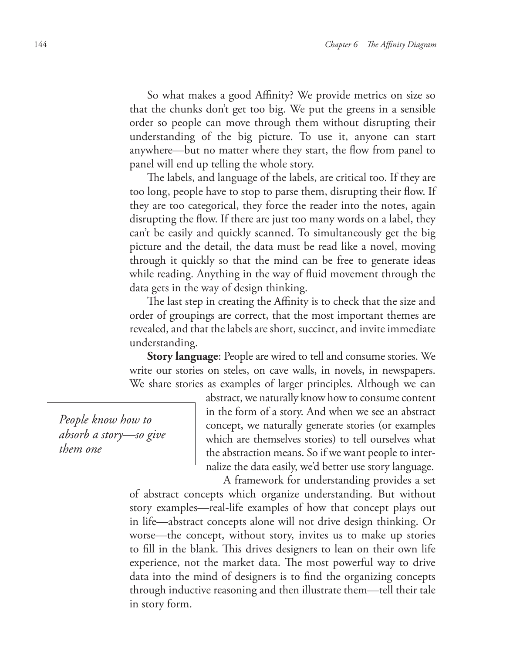So what makes a good Affinity? We provide metrics on size so that the chunks don't get too big. We put the greens in a sensible order so people can move through them without disrupting their understanding of the big picture. To use it, anyone can start anywhere—but no matter where they start, the flow from panel to panel will end up telling the whole story.

The labels, and language of the labels, are critical too. If they are too long, people have to stop to parse them, disrupting their flow. If they are too categorical, they force the reader into the notes, again disrupting the flow. If there are just too many words on a label, they can't be easily and quickly scanned. To simultaneously get the big picture and the detail, the data must be read like a novel, moving through it quickly so that the mind can be free to generate ideas while reading. Anything in the way of fluid movement through the data gets in the way of design thinking.

The last step in creating the Affinity is to check that the size and order of groupings are correct, that the most important themes are revealed, and that the labels are short, succinct, and invite immediate understanding.

**Story language**: People are wired to tell and consume stories. We write our stories on steles, on cave walls, in novels, in newspapers. We share stories as examples of larger principles. Although we can

*People know how to absorb a story—so give them one*

abstract, we naturally know how to consume content in the form of a story. And when we see an abstract concept, we naturally generate stories (or examples which are themselves stories) to tell ourselves what the abstraction means. So if we want people to internalize the data easily, we'd better use story language.

A framework for understanding provides a set of abstract concepts which organize understanding. But without story examples—real-life examples of how that concept plays out in life—abstract concepts alone will not drive design thinking. Or worse—the concept, without story, invites us to make up stories to fill in the blank. This drives designers to lean on their own life experience, not the market data. The most powerful way to drive data into the mind of designers is to find the organizing concepts through inductive reasoning and then illustrate them—tell their tale in story form.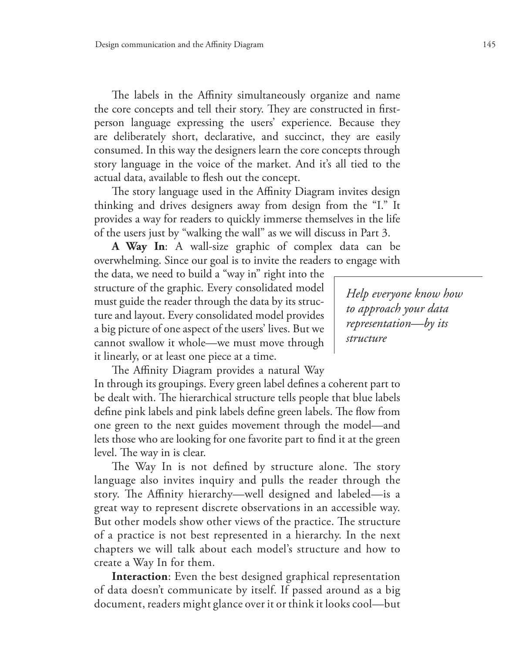The labels in the Affinity simultaneously organize and name the core concepts and tell their story. They are constructed in firstperson language expressing the users' experience. Because they are deliberately short, declarative, and succinct, they are easily consumed. In this way the designers learn the core concepts through story language in the voice of the market. And it's all tied to the actual data, available to flesh out the concept.

The story language used in the Affinity Diagram invites design thinking and drives designers away from design from the "I." It provides a way for readers to quickly immerse themselves in the life of the users just by "walking the wall" as we will discuss in Part 3.

**A Way In**: A wall-size graphic of complex data can be overwhelming. Since our goal is to invite the readers to engage with

the data, we need to build a "way in" right into the structure of the graphic. Every consolidated model must guide the reader through the data by its structure and layout. Every consolidated model provides a big picture of one aspect of the users' lives. But we cannot swallow it whole—we must move through it linearly, or at least one piece at a time.

The Affinity Diagram provides a natural Way In through its groupings. Every green label defines a coherent part to be dealt with. The hierarchical structure tells people that blue labels define pink labels and pink labels define green labels. The flow from one green to the next guides movement through the model—and lets those who are looking for one favorite part to find it at the green level. The way in is clear.

The Way In is not defined by structure alone. The story language also invites inquiry and pulls the reader through the story. The Affinity hierarchy—well designed and labeled—is a great way to represent discrete observations in an accessible way. But other models show other views of the practice. The structure of a practice is not best represented in a hierarchy. In the next chapters we will talk about each model's structure and how to create a Way In for them.

**Interaction**: Even the best designed graphical representation of data doesn't communicate by itself. If passed around as a big document, readers might glance over it or think it looks cool—but

*Help everyone know how to approach your data representation—by its structure*